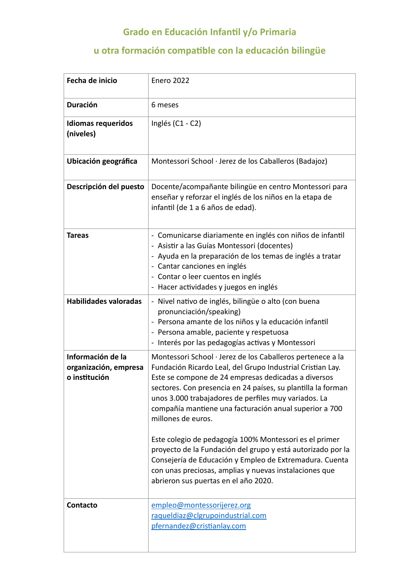## **Grado en Educación Infantil y/o Primaria**

## **u otra formación compatible con la educación bilingüe**

| Fecha de inicio                                             | <b>Enero 2022</b>                                                                                                                                                                                                                                                                                                                                                                                                                                                                                                |
|-------------------------------------------------------------|------------------------------------------------------------------------------------------------------------------------------------------------------------------------------------------------------------------------------------------------------------------------------------------------------------------------------------------------------------------------------------------------------------------------------------------------------------------------------------------------------------------|
| <b>Duración</b>                                             | 6 meses                                                                                                                                                                                                                                                                                                                                                                                                                                                                                                          |
| <b>Idiomas requeridos</b><br>(niveles)                      | Inglés $(C1 - C2)$                                                                                                                                                                                                                                                                                                                                                                                                                                                                                               |
| Ubicación geográfica                                        | Montessori School · Jerez de los Caballeros (Badajoz)                                                                                                                                                                                                                                                                                                                                                                                                                                                            |
| Descripción del puesto                                      | Docente/acompañante bilingüe en centro Montessori para<br>enseñar y reforzar el inglés de los niños en la etapa de<br>infantil (de 1 a 6 años de edad).                                                                                                                                                                                                                                                                                                                                                          |
| <b>Tareas</b>                                               | - Comunicarse diariamente en inglés con niños de infantil<br>- Asistir a las Guías Montessori (docentes)<br>- Ayuda en la preparación de los temas de inglés a tratar<br>- Cantar canciones en inglés<br>- Contar o leer cuentos en inglés<br>- Hacer actividades y juegos en inglés                                                                                                                                                                                                                             |
| Habilidades valoradas                                       | - Nivel nativo de inglés, bilingüe o alto (con buena<br>pronunciación/speaking)<br>- Persona amante de los niños y la educación infantil<br>- Persona amable, paciente y respetuosa<br>- Interés por las pedagogías activas y Montessori                                                                                                                                                                                                                                                                         |
| Información de la<br>organización, empresa<br>o institución | Montessori School · Jerez de los Caballeros pertenece a la<br>Fundación Ricardo Leal, del Grupo Industrial Cristian Lay.<br>Este se compone de 24 empresas dedicadas a diversos<br>sectores. Con presencia en 24 países, su plantilla la forman<br>unos 3.000 trabajadores de perfiles muy variados. La<br>compañía mantiene una facturación anual superior a 700<br>millones de euros.<br>Este colegio de pedagogía 100% Montessori es el primer<br>proyecto de la Fundación del grupo y está autorizado por la |
|                                                             | Consejería de Educación y Empleo de Extremadura. Cuenta<br>con unas preciosas, amplias y nuevas instalaciones que<br>abrieron sus puertas en el año 2020.                                                                                                                                                                                                                                                                                                                                                        |
| Contacto                                                    | empleo@montessorijerez.org<br>raqueldiaz@clgrupoindustrial.com<br>pfernandez@cristianlay.com                                                                                                                                                                                                                                                                                                                                                                                                                     |